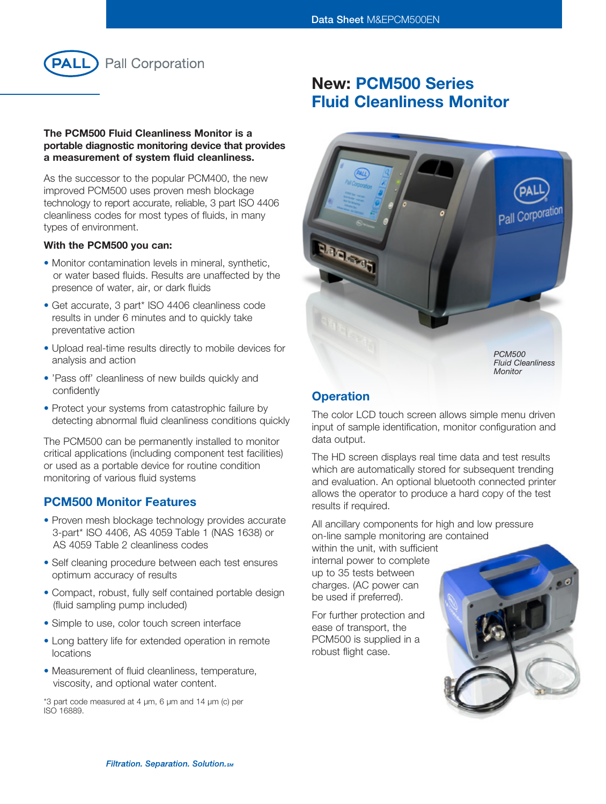

## The PCM500 Fluid Cleanliness Monitor is a portable diagnostic monitoring device that provides a measurement of system fluid cleanliness.

As the successor to the popular PCM400, the new improved PCM500 uses proven mesh blockage technology to report accurate, reliable, 3 part ISO 4406 cleanliness codes for most types of fluids, in many types of environment.

## With the PCM500 you can:

- Monitor contamination levels in mineral, synthetic, or water based fluids. Results are unaffected by the presence of water, air, or dark fluids
- Get accurate, 3 part\* ISO 4406 cleanliness code results in under 6 minutes and to quickly take preventative action
- Upload real-time results directly to mobile devices for analysis and action
- 'Pass off' cleanliness of new builds quickly and confidently
- Protect your systems from catastrophic failure by detecting abnormal fluid cleanliness conditions quickly

The PCM500 can be permanently installed to monitor critical applications (including component test facilities) or used as a portable device for routine condition monitoring of various fluid systems

## PCM500 Monitor Features

- Proven mesh blockage technology provides accurate 3-part\* ISO 4406, AS 4059 Table 1 (NAS 1638) or AS 4059 Table 2 cleanliness codes
- Self cleaning procedure between each test ensures optimum accuracy of results
- Compact, robust, fully self contained portable design (fluid sampling pump included)
- Simple to use, color touch screen interface
- Long battery life for extended operation in remote locations
- Measurement of fluid cleanliness, temperature, viscosity, and optional water content.

\*3 part code measured at 4 µm, 6 µm and 14 µm (c) per ISO 16889.

# New: PCM500 Series Fluid Cleanliness Monitor



## **Operation**

The color LCD touch screen allows simple menu driven input of sample identification, monitor configuration and data output.

The HD screen displays real time data and test results which are automatically stored for subsequent trending and evaluation. An optional bluetooth connected printer allows the operator to produce a hard copy of the test results if required.

All ancillary components for high and low pressure on-line sample monitoring are contained

within the unit, with sufficient internal power to complete up to 35 tests between charges. (AC power can be used if preferred).

For further protection and ease of transport, the PCM500 is supplied in a robust flight case.